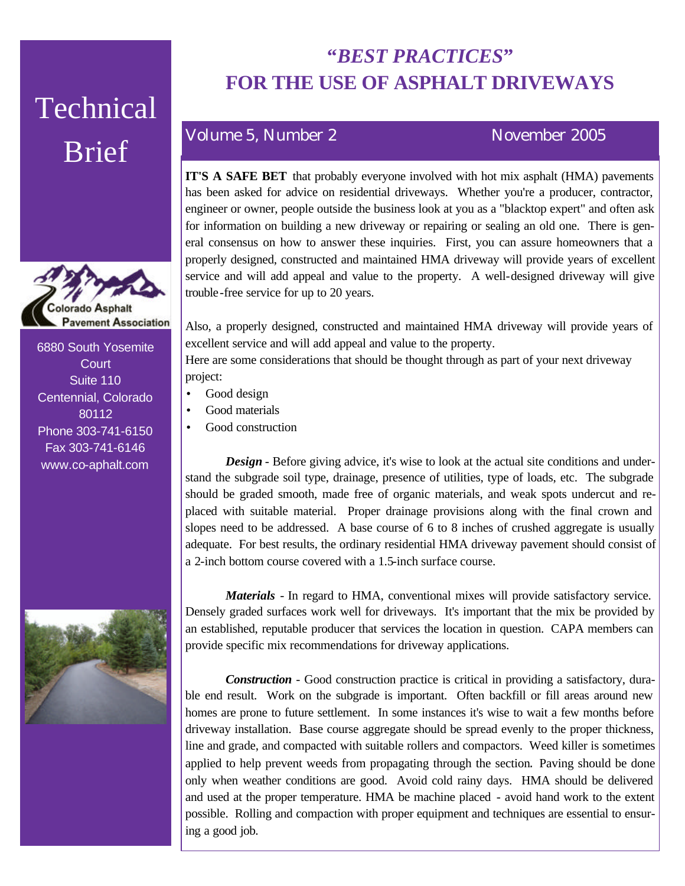# Technical Brief



6880 South Yosemite **Court** Suite 110 Centennial, Colorado 80112 Phone 303-741-6150 Fax 303-741-6146 www.co-aphalt.com



## **"***BEST PRACTICES***" FOR THE USE OF ASPHALT DRIVEWAYS**

### Volume 5, Number 2 November 2005

**IT'S A SAFE BET** that probably everyone involved with hot mix asphalt (HMA) pavements has been asked for advice on residential driveways. Whether you're a producer, contractor, engineer or owner, people outside the business look at you as a "blacktop expert" and often ask for information on building a new driveway or repairing or sealing an old one. There is general consensus on how to answer these inquiries. First, you can assure homeowners that a properly designed, constructed and maintained HMA driveway will provide years of excellent service and will add appeal and value to the property. A well-designed driveway will give trouble-free service for up to 20 years.

Also, a properly designed, constructed and maintained HMA driveway will provide years of excellent service and will add appeal and value to the property.

Here are some considerations that should be thought through as part of your next driveway project:

- Good design
- Good materials
- Good construction

**Design** - Before giving advice, it's wise to look at the actual site conditions and understand the subgrade soil type, drainage, presence of utilities, type of loads, etc. The subgrade should be graded smooth, made free of organic materials, and weak spots undercut and replaced with suitable material. Proper drainage provisions along with the final crown and slopes need to be addressed. A base course of 6 to 8 inches of crushed aggregate is usually adequate. For best results, the ordinary residential HMA driveway pavement should consist of a 2-inch bottom course covered with a 1.5-inch surface course.

*Materials* - In regard to HMA, conventional mixes will provide satisfactory service. Densely graded surfaces work well for driveways. It's important that the mix be provided by an established, reputable producer that services the location in question. CAPA members can provide specific mix recommendations for driveway applications.

*Construction* - Good construction practice is critical in providing a satisfactory, durable end result. Work on the subgrade is important. Often backfill or fill areas around new homes are prone to future settlement. In some instances it's wise to wait a few months before driveway installation. Base course aggregate should be spread evenly to the proper thickness, line and grade, and compacted with suitable rollers and compactors. Weed killer is sometimes applied to help prevent weeds from propagating through the section. Paving should be done only when weather conditions are good. Avoid cold rainy days. HMA should be delivered and used at the proper temperature. HMA be machine placed - avoid hand work to the extent possible. Rolling and compaction with proper equipment and techniques are essential to ensuring a good job.